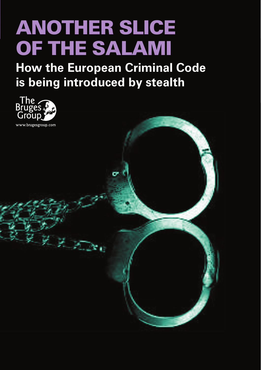# ANOTHER SLICE OF THE SALAMI

**How the European Criminal Code is being introduced by stealth**

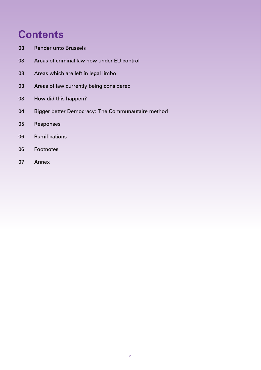# **Contents**

- 03 Render unto Brussels
- [03 Areas of criminal law now under EU control](#page-2-0)
- 03 Areas which are left in legal limbo
- 03 Areas of law currently being considered
- 03 How did this happen?
- [04 Bigger better Democracy: The Communautaire method](#page-3-0)
- [05 Responses](#page-4-0)
- [06 Ramifications](#page-5-0)
- 06 Footnotes
- [07 Annex](#page-6-0)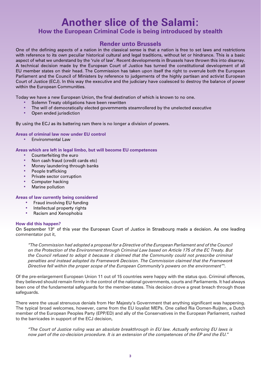## <span id="page-2-0"></span>**Another slice of the Salami: How the European Criminal Code is being introduced by stealth**

### **Render unto Brussels**

One of the defining aspects of a nation in the classical sense is that a nation is free to set laws and restrictions with reference to its own peculiar historical cultural and legal traditions, without let or hindrance. This is a basic aspect of what we understand by the 'rule of law'. Recent developments in Brussels have thrown this into disarray. A technical decision made by the European Court of Justice has turned the constitutional development of all EU member states on their head. The Commission has taken upon itself the right to overrule both the European Parliament and the Council of Ministers by reference to judgements of the highly partisan and activist European Court of Justice (ECJ). In this way the executive and the judiciary have coalesced to destroy the balance of power within the European Communities.

Today we have a new European Union, the final destination of which is known to no one.

- Solemn Treaty obligations have been rewritten
- The will of democratically elected governments steamrollered by the unelected executive
- Open ended jurisdiction

By using the ECJ as its battering ram there is no longer a division of powers.

**Areas of criminal law now under EU control**

• Environmental Law

**Areas which are left in legal limbo, but will become EU competences**

- Counterfeiting the euro
- Non cash fraud (credit cards etc)
- Money laundering through banks
- People trafficking
- Private sector corruption
- Computer hacking
- Marine pollution

#### **Areas of law currently being considered**

- Fraud involving EU funding
- Intellectual property rights
- Racism and Xenophobia

#### **How did this happen?**

On September 13<sup>th</sup> of this year the European Court of Justice in Strasbourg made a decision. As one leading commentator put it,

*"The Commission had adopted a proposal for a Directive of the European Parliament and of the Council on the Protection of the Environment through Criminal Law based on Article 175 of the EC Treaty. But the Council refused to adopt it because it claimed that the Community could not prescribe criminal penalties and instead adopted its Framework Decision. The Commission claimed that the Framework Directive fell within the proper scope of the European Community's powers on the environment"*<sup>1</sup> *.*

Of the pre-enlargement European Union 11 out of 15 countries were happy with the status quo. Criminal offences, they believed should remain firmly in the control of the national governments, courts and Parliaments. It had always been one of the fundamental safeguards for the member-states. This decision drove a great breach through those safeguards.

There were the usual strenuous denials from Her Majesty's Government that anything significant was happening. The typical broad welcomes, however, came from the EU loyalist MEPs. One called Ria Oomen-Ruijten, a Dutch member of the European Peoples Party (EPP/ED) and ally of the Conservatives in the European Parliament, rushed to the barricades in support of the ECJ decision,

*"The Court of Justice ruling was an absolute breakthrough in EU law. Actually enforcing EU laws is now part of the co-decision procedure. It is an extension of the competences of the EP and the EU.*"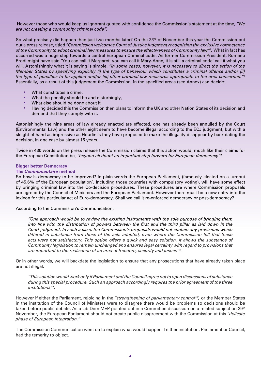<span id="page-3-0"></span>However those who would keep us ignorant quoted with confidence the Commission's statement at the time, *"We are not creating a community criminal code".*

So what precisely did happen then just two months later? On the 23<sup>rd</sup> of November this year the Commission put out a press release, titled "*Commission welcomes Court of Justice judgment recognising the exclusive competence of the Community to adopt criminal law measures to ensure the effectiveness of Community law"<sup>2</sup>. What in fact has* occurred was a huge step towards a central European Criminal code. As former Commission President, Romano Prodi might have said 'You can call it Margaret, you can call it Mary-Anne, it is still a criminal code' call it what you will. Astonishingly what it is saying is simple, *"In some cases, however, it is necessary to direct the action of the Member States by specifying explicitly (i) the type of behaviour which constitutes a criminal offence and/or (ii) the type of penalties to be applied and/or (iii) other criminal-law measures appropriate to the area concerned."3 concerned."* Essentially, as a result of this judgement the Commission, in the specified areas (see Annex) can decide:

- What constitutes a crime,
- What the penalty should be and disturbingly,
- What else should be done about it,
- Having decided this the Commission then plans to inform the UK and other Nation States of its decision and demand that they comply with it.

Astonishingly the nine areas of law already enacted are effected, one has already been annulled by the Court (Environmental Law) and the other eight seem to have become illegal according to the ECJ judgment, but with a sleight of hand as impressive as Houdini's they have proposed to make the illegality disappear by back dating the decision, in one case by almost 15 years.

Twice in 430 words on the press release the Commission claims that this action would, much like their claims for the European Constitution be, *"beyond all doubt an important step forward for European democracy"4 .*

#### **Bigger better Democracy:**

#### **The** *Communautaire* **method**

So how is democracy to be improved? In plain words the European Parliament, (famously elected on a turnout of 45.6% of the European population<sup>5</sup>, including those countries with compulsory voting), will have some effect by bringing criminal law into the Co-decision procedures. These procedures are where Commission proposals are agreed by the Council of Ministers and the European Parliament. However there must be a new entry into the lexicon for this particular act of Euro-democracy. Shall we call it re-enforced democracy or post-democracy?

According to the Commission's Communication,

*"One approach would be to review the existing instruments with the sole purpose of bringing them into line with the distribution of powers between the first and the third pillar as laid down in the Court judgment. In such a case, the Commission's proposals would not contain any provisions which differed in substance from those of the acts adopted, even where the Commission felt that these acts were not satisfactory. This option offers a quick and easy solution. It allows the substance of Community legislation to remain unchanged and ensures legal certainty with regard to provisions that are important to the realisation of an area of freedom, security and justice"6 .*

Or in other words, we will backdate the legislation to ensure that any prosecutions that have already taken place are not illegal.

*"This solution would work only if Parliament and the Council agree not to open discussions of substance during this special procedure. Such an approach accordingly requires the prior agreement of the three institutions"7 .*

However if either the Parliament, rejoicing in the *"strengthening of parliamentary control"8 ,* or the Member States in the institution of the Council of Ministers were to disagree there would be problems so decisions should be taken before public debate. As a Lib Dem MEP pointed out in a Committee discussion on a related subject on 29th November, the European Parliament should not create public disagreement with the Commission at this "*delicate phase of European integration."*

The Commission Communication went on to explain what would happen if either institution, Parliament or Council, had the temerity to object.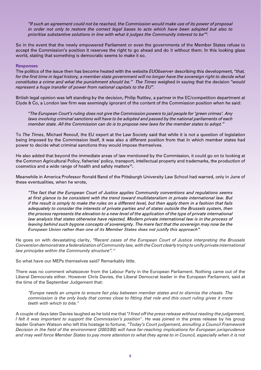<span id="page-4-0"></span>*"If such an agreement could not be reached, the Commission would make use of its power of proposal in order not only to restore the correct legal bases to acts which have been adopted but also to prioritise substantive solutions in line with what it judges the Community interest to be"9 .*

So in the event that the newly empowered Parliament or even the governments of the Member States refuse to accept the Commission's position it reserves the right to go ahead and do it without them. In this looking glass world, stating that something is democratic seems to make it so.

#### **Responses**

The politics of the issue then has become heated with the website *EUObserver* describing this development, "*that,*  for the first time in legal history, a member state government will no longer have the sovereign right to decide what *constitutes a crime and what the punishment should be." The Times* weighed in saying that the decision "*would represent a huge transfer of power from national capitals to the EU".*

British legal opinion was left standing by the decision, Philip Ruttley, a partner in the EC/competition department at Clyde & Co, a London law firm was seemingly ignorant of the content of the Commission position when he said:

"*The European Court's ruling does not give the Commission powers to jail people for 'green crimes'. Any laws involving criminal sanctions will have to be adopted and passed by the national parliaments of each member state. All the Commission can do is to propose new laws for the member states to adopt."*

To *The Times*, Michael Renouf, the EU expert at the Law Society said that while it is not a question of legislation being imposed by the Commission itself, it was also a different position from that in which member states had power to decide what criminal sanctions they would impose themselves.

He also added that beyond the immediate areas of law mentioned by the Commission, it could go on to looking at the Common Agricultural Policy, fisheries' policy, transport, intellectual property and trademarks, the production of cosmetics and a wide range of health and safety matters10.

Meanwhile in America Professor Ronald Band of the Pittsburgh University Law School had warned, only in June of these eventualities, when he wrote,

*"The fact that the European Court of Justice applies Community conventions and regulations seems at first glance to be consistent with the trend toward multilateralism in private international law. But if the result is simply to make the rules on a different level, but then apply them in a fashion that fails adequately to consider the interests of private parties and of states outside the Brussels system, then the process represents the elevation to a new level of the application of the type of private international law analysis that states otherwise have rejected. Modern private international law is in the process of leaving behind such bygone concepts of sovereignty. The mere fact that the sovereign may now be the European Union rather than one of its Member States does not justify this approach".*

He goes on with devastating clarity, *"Recent cases of the European Court of Justice interpreting the Brussels Convention demonstrate a federalization of Community law, with the Court clearly trying to unify private international law principles within the Community structure".11*

So what have our MEPs themselves said? Remarkably little.

There was no comment whatsoever from the Labour Party in the European Parliament. Nothing came out of the Liberal Democrats either. However Chris Davies, the Liberal Democrat leader in the European Parliament, said at the time of the September Judgement that:

*"Europe needs an umpire to ensure fair play between member states and to dismiss the cheats. The*  commission is the only body that comes close to fitting that role and this court ruling gives it more *teeth with which to bite."*

A couple of days later Davies laughed as he told me that "*I fi red off the press release without reading the judgement, I felt it was important to support the Commission's position*". He was joined in the press release by his group leader Graham Watson who left this hostage to fortune, *"Today's Court judgement, annulling a Council Framework Decision in the fi eld of the environment (2003/80) will have far-reaching implications for European jurisprudence*  and may well force Member States to pay more attention to what they agree to in Council, especially when it is not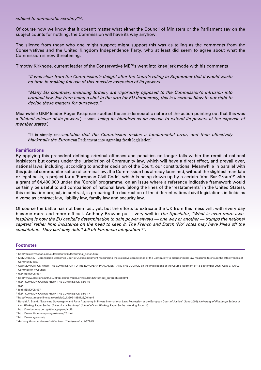#### <span id="page-5-0"></span>*subject to democratic scrutiny"12*.

Of course now we know that it doesn't matter what either the Council of Ministers or the Parliament say on the subject counts for nothing, the Commission will have its way anyhow.

The silence from those who one might suspect might support this was as telling as the comments from the Conservatives and the United Kingdom Independence Party, who at least did seem to agree about what the Commission is now threatening.

Timothy Kirkhope, current leader of the Conservative MEP's went into knee jerk mode with his comments

*"It was clear from the Commission's delight after the Court's ruling in September that it would waste no time in making full use of this massive extension of its powers.*

*"Many EU countries, including Britain, are vigorously opposed to the Commission's intrusion into criminal law. Far from being a shot in the arm for EU democracy, this is a serious blow to our right to decide these matters for ourselves."*

Meanwhile UKIP leader Roger Knapman spotted the anti-democratic nature of the action pointing out that this was a *'blatant misuse of its powers',* it was *'using its blunders as an excuse to extend its powers at the expense of member states'.*

"It is simply unac*ceptable that the Commission makes a fundamental error, and then effectively blackmails the Europe*an Parliament into agreeing fresh legislation".

#### **Ramifications**

By applying this precedent defining criminal offences and penalties no longer falls within the remit of national legislators but comes under the jurisdiction of Community law, which will have a direct effect, and prevail over, national laws, including, according to another decision of the Court, our constitutions. Meanwhile in parallel with this judicial communitarisation of criminal law, the Commission has already launched, without the slightest mandate or legal basis, a project for a 'European Civil Code', which is being drawn up by a certain 'Von Bar Group<sup>13'</sup> with a grant of €4,400,000 under the 'Cordis' programme, on an issue where a reference indicative framework would certainly be useful to aid comparison of national laws (along the lines of the 'restatements' in the United States), this unification project, in contrast, is preparing the destruction of the different national civil legislations in fields as diverse as contract law, liability law, family law and security law.

Of course the battle has not been lost, yet, but the efforts to extricate the UK from this mess will, with every day become more and more difficult. Anthony Browne put it very well in *The Spectator*, "*What is even more aweinspiring is how the EU capital's determination to gain power always — one way or another — trumps the national capitals' rather limp insistence on the need to keep it. The French and Dutch 'No' votes may have killed off the constitution. They certainly didn't kill off European integration14".*

#### **Footnotes**

- 5 http://www.elections2004.eu.int/ep-election/sites/en/results1306/turnout\_ep/graphical.html
- 6  *Ibid* COMMUNICATION FROM THE COMMISSION para 16

<sup>1</sup> http://eulaw.typepad.com/eulawblog/2005/09/criminal\_penalt.html

 $^2$  MEMO/05/437 - Commission welcomes Court of Justice judgment recognising the exclusive competence of the Community to adopt criminal law measures to ensure the effectiveness of Community law.

<sup>3</sup> COMMUNICATION FROM THE COMMISSION TO THE EUROPEAN PARLIAMENT AND THE COUNCIL on the implications of the Court's judgment of 13 September 2005 (Case C-176/03 Commission v Council)

<sup>4</sup>  *Ibid* MEMO/05/437

<sup>7</sup>  *Ibid*

<sup>8</sup> Ibid MEMO/05/437

<sup>9</sup>  *Ibid* - COMMUNICATION FROM THE COMMISSION para 17

<sup>10</sup> http://www.timesonline.co.uk/article/0,,13509-1888123,00.html

<sup>&</sup>lt;sup>11</sup> Ronald A. Brand. "Balancing Sovereignty and Party Autonomy in Private International Law: Regression at the European Court of Justice" (June 2005). *University of Pittsburgh School of Law Working Paper Series. University of Pittsburgh School of Law Working Paper Series.* Working Paper 25.

http://law.bepress.com/pittlwps/papers/art25

<sup>12</sup> http://www.libdemmeps.org.uk/news/76.html

<sup>13</sup> http://www.sgecc.net/

<sup>14</sup> *Anthony Browne: Brussels Bites back. The Spectator, 24/11/05*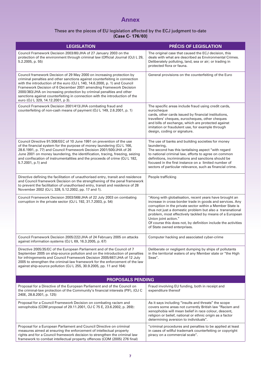## **Annex**

#### These are the pieces of EU legislation affected by the ECJ judgment to-date **(Case C- 176/03)**

<span id="page-6-0"></span>

| <b>LEGISLATION</b>                                                                                                                                                                                                                                                                                                                                                                                                                                                                                  | PRÉCIS OF LEGISLATION                                                                                                                                                                                                                                                                                                                                                                                                              |
|-----------------------------------------------------------------------------------------------------------------------------------------------------------------------------------------------------------------------------------------------------------------------------------------------------------------------------------------------------------------------------------------------------------------------------------------------------------------------------------------------------|------------------------------------------------------------------------------------------------------------------------------------------------------------------------------------------------------------------------------------------------------------------------------------------------------------------------------------------------------------------------------------------------------------------------------------|
| Council Framework Decision 2003/80/JHA of 27 January 2003 on the<br>protection of the environment through criminal law (Official Journal (OJ) L 29,<br>5.2.2005, p. 55)                                                                                                                                                                                                                                                                                                                             | The original case that caused the ECJ decision, this<br>deals with what are described as Environmental Crimes.<br>Deliberately polluting, land, sea or air; or trading in<br>protected flora or fauna.                                                                                                                                                                                                                             |
| Council framework Decision of 29 May 2000 on increasing protection by<br>criminal penalties and other sanctions against counterfeiting in connection<br>with the introduction of the euro (OJ L 140, 14.6.2000, p. 1) and Council<br>Framework Decision of 6 December 2001 amending Framework Decision<br>2000/383/JHA on increasing protection by criminal penalties and other<br>sanctions against counterfeiting in connection with the introduction of the<br>euro (OJ L 329, 14.12.2001, p 3). | General provisions on the counterfeiting of the Euro                                                                                                                                                                                                                                                                                                                                                                               |
| Council Framework Decision 2001/413/JHA combating fraud and<br>counterfeiting of non-cash means of payment (OJ L 149, 2.6.2001, p. 1)                                                                                                                                                                                                                                                                                                                                                               | The specific areas include fraud using credit cards,<br>eurocheque<br>cards, other cards issued by financial institutions,<br>travellers' cheques, eurocheques, other cheques<br>and bills of exchange, which are protected against<br>imitation or fraudulent use, for example through<br>design, coding or signature.                                                                                                            |
| Council Directive 91/308/EEC of 10 June 1991 on prevention of the use<br>of the financial system for the purpose of money laundering (OJ L 166,<br>28.6.1991, p. 77) and Council Framework Decision 2001/500/JHA of 26<br>June 2001 on money laundering, the identification, tracing, freezing, seizing<br>and confiscation of instrumentalities and the proceeds of crime (OJ L 182,<br>5.7.2001, p.1) and                                                                                         | The use of banks and building societies for money<br>laundering,<br>The second has this tantalising aspect "with regard<br>to national criminal law, efforts to agree on common<br>definitions, incriminations and sanctions should be<br>focused in the first instance on a limited number of<br>sectors of particular relevance, such as financial crime.                                                                        |
| Directive defining the facilitation of unauthorised entry, transit and residence<br>and Council framework Decision on the strengthening of the penal framework<br>to prevent the facilitation of unauthorised entry, transit and residence of 28<br>November 2002 (OJ L 328, 5.12.2002, pp. 17 and 1).                                                                                                                                                                                              | People trafficking                                                                                                                                                                                                                                                                                                                                                                                                                 |
| Council Framework Decision 2003/568/JHA of 22 July 2003 on combating<br>corruption in the private sector (OJ L 192, 31.7.2003, p. 54)                                                                                                                                                                                                                                                                                                                                                               | "Along with globalisation, recent years have brought an<br>increase in cross-border trade in goods and services. Any<br>corruption in the private sector within a Member State is<br>thus not just a domestic problem but also a transnational<br>problem, most effectively tackled by means of a European<br>Union joint action."<br>Of course this does not, by definition include the activities<br>of State owned enterprises. |
| Council Framework Decision 2005/222/JHA of 24 February 2005 on attacks<br>against information systems (OJ L 69, 16.3.2005, p. 67)                                                                                                                                                                                                                                                                                                                                                                   | Computer hacking and associated cyber-crime                                                                                                                                                                                                                                                                                                                                                                                        |
| Directive 2005/35/EC of the European Parliament and of the Council of 7<br>September 2005 on ship-source pollution and on the introduction of penalties<br>for infringements and Council Framework Decision 2005/667/JHA of 12 July<br>2005 to strengthen the criminal-law framework for the enforcement of the law<br>against ship-source pollution (OJ L 255, 30.9.2005, pp. 11 and 164)                                                                                                          | Deliberate or negligent dumping by ships of pollutants<br>in the territorial waters of any Member state or "the High<br>Seas".                                                                                                                                                                                                                                                                                                     |
| <b>PROPOSALS PENDING</b>                                                                                                                                                                                                                                                                                                                                                                                                                                                                            |                                                                                                                                                                                                                                                                                                                                                                                                                                    |
| Proposal for a Directive of the European Parliament and of the Council on<br>the criminal-law protection of the Community's financial interests (PIF), (OJ C<br>240E, 28.8.2001, p. 125)                                                                                                                                                                                                                                                                                                            | Fraud involving EU funding, both in receipt and<br>expenditure thereof                                                                                                                                                                                                                                                                                                                                                             |
| Proposal for a Council Framework Decision on combating racism and<br>xenophobia (COM proposal of 29.11.2001, OJ C 75 E, 23.6.2002, p. 269):                                                                                                                                                                                                                                                                                                                                                         | As it says including "insults and threats" the scope<br>covers some areas not currently British law "Racism and<br>xenophobia will mean belief in race colour, descent,<br>religion or belief, national or ethnic origin as a factor<br>determining aversion to individuals".                                                                                                                                                      |
| Proposal for a European Parliament and Council Directive on criminal<br>measures aimed at ensuring the enforcement of intellectual property<br>rights and for a Council framework decision to strengthen the criminal law<br>framework to combat intellectual property offences (COM (2005) 276 final)                                                                                                                                                                                              | "criminal procedures and penalties to be applied at least<br>in cases of willful trademark counterfeiting or copyright<br>piracy on a commercial scale".                                                                                                                                                                                                                                                                           |